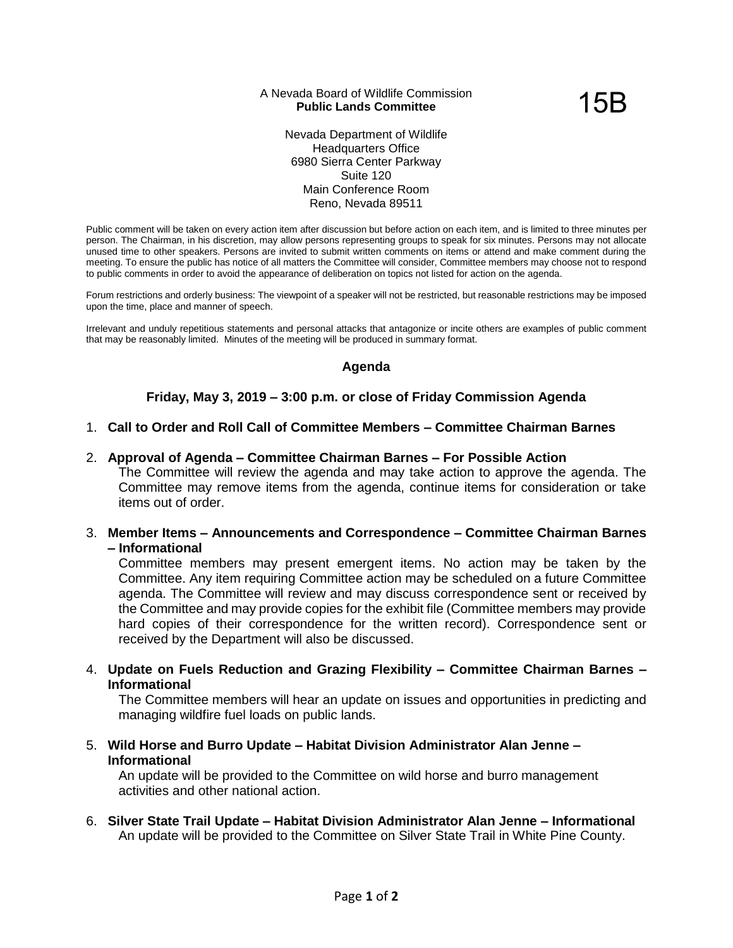### A Nevada Board of Wildlife Commission **Public Lands Committee**

15B

Nevada Department of Wildlife Headquarters Office 6980 Sierra Center Parkway Suite 120 Main Conference Room Reno, Nevada 89511

Public comment will be taken on every action item after discussion but before action on each item, and is limited to three minutes per person. The Chairman, in his discretion, may allow persons representing groups to speak for six minutes. Persons may not allocate unused time to other speakers. Persons are invited to submit written comments on items or attend and make comment during the meeting. To ensure the public has notice of all matters the Committee will consider, Committee members may choose not to respond to public comments in order to avoid the appearance of deliberation on topics not listed for action on the agenda.

Forum restrictions and orderly business: The viewpoint of a speaker will not be restricted, but reasonable restrictions may be imposed upon the time, place and manner of speech.

Irrelevant and unduly repetitious statements and personal attacks that antagonize or incite others are examples of public comment that may be reasonably limited. Minutes of the meeting will be produced in summary format.

# **Agenda**

# **Friday, May 3, 2019 – 3:00 p.m. or close of Friday Commission Agenda**

### 1. **Call to Order and Roll Call of Committee Members – Committee Chairman Barnes**

### 2. **Approval of Agenda – Committee Chairman Barnes – For Possible Action**

The Committee will review the agenda and may take action to approve the agenda. The Committee may remove items from the agenda, continue items for consideration or take items out of order.

3. **Member Items – Announcements and Correspondence – Committee Chairman Barnes – Informational**

Committee members may present emergent items. No action may be taken by the Committee. Any item requiring Committee action may be scheduled on a future Committee agenda. The Committee will review and may discuss correspondence sent or received by the Committee and may provide copies for the exhibit file (Committee members may provide hard copies of their correspondence for the written record). Correspondence sent or received by the Department will also be discussed.

4. **Update on Fuels Reduction and Grazing Flexibility – Committee Chairman Barnes – Informational**

The Committee members will hear an update on issues and opportunities in predicting and managing wildfire fuel loads on public lands.

5. **Wild Horse and Burro Update – Habitat Division Administrator Alan Jenne – Informational**

An update will be provided to the Committee on wild horse and burro management activities and other national action.

6. **Silver State Trail Update – Habitat Division Administrator Alan Jenne – Informational** An update will be provided to the Committee on Silver State Trail in White Pine County.